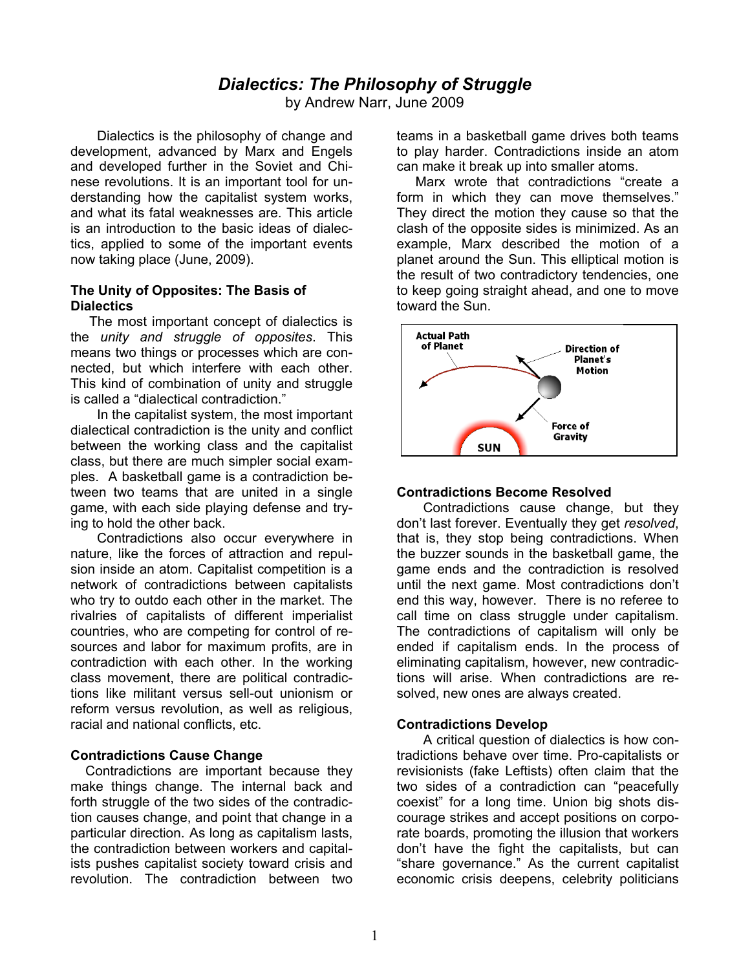# *Dialectics: The Philosophy of Struggle*

by Andrew Narr, June 2009

Dialectics is the philosophy of change and development, advanced by Marx and Engels and developed further in the Soviet and Chinese revolutions. It is an important tool for understanding how the capitalist system works, and what its fatal weaknesses are. This article is an introduction to the basic ideas of dialectics, applied to some of the important events now taking place (June, 2009).

### **The Unity of Opposites: The Basis of Dialectics**

The most important concept of dialectics is the *unity and struggle of opposites*. This means two things or processes which are connected, but which interfere with each other. This kind of combination of unity and struggle is called a "dialectical contradiction."

In the capitalist system, the most important dialectical contradiction is the unity and conflict between the working class and the capitalist class, but there are much simpler social examples. A basketball game is a contradiction between two teams that are united in a single game, with each side playing defense and trying to hold the other back.

Contradictions also occur everywhere in nature, like the forces of attraction and repulsion inside an atom. Capitalist competition is a network of contradictions between capitalists who try to outdo each other in the market. The rivalries of capitalists of different imperialist countries, who are competing for control of resources and labor for maximum profits, are in contradiction with each other. In the working class movement, there are political contradictions like militant versus sell-out unionism or reform versus revolution, as well as religious, racial and national conflicts, etc.

## **Contradictions Cause Change**

 Contradictions are important because they make things change. The internal back and forth struggle of the two sides of the contradiction causes change, and point that change in a particular direction. As long as capitalism lasts, the contradiction between workers and capitalists pushes capitalist society toward crisis and revolution. The contradiction between two

teams in a basketball game drives both teams to play harder. Contradictions inside an atom can make it break up into smaller atoms.

 Marx wrote that contradictions "create a form in which they can move themselves." They direct the motion they cause so that the clash of the opposite sides is minimized. As an example, Marx described the motion of a planet around the Sun. This elliptical motion is the result of two contradictory tendencies, one to keep going straight ahead, and one to move toward the Sun.



### **Contradictions Become Resolved**

Contradictions cause change, but they don't last forever. Eventually they get *resolved*, that is, they stop being contradictions. When the buzzer sounds in the basketball game, the game ends and the contradiction is resolved until the next game. Most contradictions don't end this way, however. There is no referee to call time on class struggle under capitalism. The contradictions of capitalism will only be ended if capitalism ends. In the process of eliminating capitalism, however, new contradictions will arise. When contradictions are resolved, new ones are always created.

### **Contradictions Develop**

A critical question of dialectics is how contradictions behave over time. Pro-capitalists or revisionists (fake Leftists) often claim that the two sides of a contradiction can "peacefully coexist" for a long time. Union big shots discourage strikes and accept positions on corporate boards, promoting the illusion that workers don't have the fight the capitalists, but can "share governance." As the current capitalist economic crisis deepens, celebrity politicians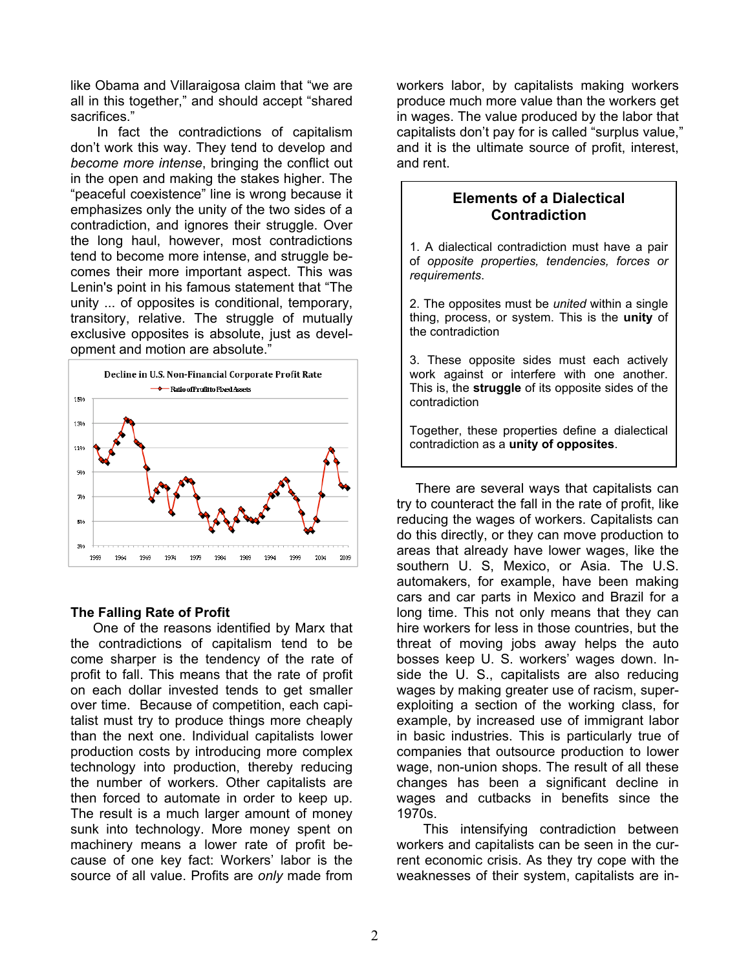like Obama and Villaraigosa claim that "we are all in this together," and should accept "shared sacrifices."

In fact the contradictions of capitalism don't work this way. They tend to develop and *become more intense*, bringing the conflict out in the open and making the stakes higher. The "peaceful coexistence" line is wrong because it emphasizes only the unity of the two sides of a contradiction, and ignores their struggle. Over the long haul, however, most contradictions tend to become more intense, and struggle becomes their more important aspect. This was Lenin's point in his famous statement that "The unity ... of opposites is conditional, temporary, transitory, relative. The struggle of mutually exclusive opposites is absolute, just as development and motion are absolute."



### **The Falling Rate of Profit**

 One of the reasons identified by Marx that the contradictions of capitalism tend to be come sharper is the tendency of the rate of profit to fall. This means that the rate of profit on each dollar invested tends to get smaller over time. Because of competition, each capitalist must try to produce things more cheaply than the next one. Individual capitalists lower production costs by introducing more complex technology into production, thereby reducing the number of workers. Other capitalists are then forced to automate in order to keep up. The result is a much larger amount of money sunk into technology. More money spent on machinery means a lower rate of profit because of one key fact: Workers' labor is the source of all value. Profits are *only* made from

workers labor, by capitalists making workers produce much more value than the workers get in wages. The value produced by the labor that capitalists don't pay for is called "surplus value," and it is the ultimate source of profit, interest, and rent.

# **Elements of a Dialectical Contradiction**

1. A dialectical contradiction must have a pair of *opposite properties, tendencies, forces or requirements*.

2. The opposites must be *united* within a single thing, process, or system. This is the **unity** of the contradiction

3. These opposite sides must each actively work against or interfere with one another. This is, the **struggle** of its opposite sides of the contradiction

Together, these properties define a dialectical contradiction as a **unity of opposites**.

 There are several ways that capitalists can try to counteract the fall in the rate of profit, like reducing the wages of workers. Capitalists can do this directly, or they can move production to areas that already have lower wages, like the southern U. S, Mexico, or Asia. The U.S. automakers, for example, have been making cars and car parts in Mexico and Brazil for a long time. This not only means that they can hire workers for less in those countries, but the threat of moving jobs away helps the auto bosses keep U. S. workers' wages down. Inside the U. S., capitalists are also reducing wages by making greater use of racism, superexploiting a section of the working class, for example, by increased use of immigrant labor in basic industries. This is particularly true of companies that outsource production to lower wage, non-union shops. The result of all these changes has been a significant decline in wages and cutbacks in benefits since the 1970s.

This intensifying contradiction between workers and capitalists can be seen in the current economic crisis. As they try cope with the weaknesses of their system, capitalists are in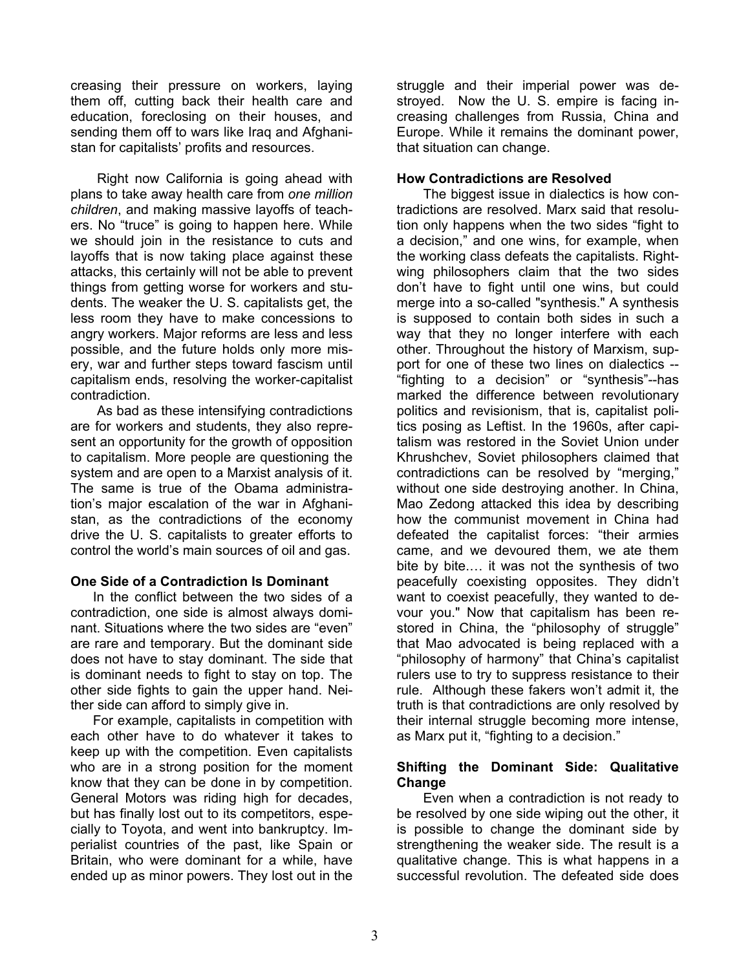creasing their pressure on workers, laying them off, cutting back their health care and education, foreclosing on their houses, and sending them off to wars like Iraq and Afghanistan for capitalists' profits and resources.

Right now California is going ahead with plans to take away health care from *one million children*, and making massive layoffs of teachers. No "truce" is going to happen here. While we should join in the resistance to cuts and layoffs that is now taking place against these attacks, this certainly will not be able to prevent things from getting worse for workers and students. The weaker the U. S. capitalists get, the less room they have to make concessions to angry workers. Major reforms are less and less possible, and the future holds only more misery, war and further steps toward fascism until capitalism ends, resolving the worker-capitalist contradiction.

As bad as these intensifying contradictions are for workers and students, they also represent an opportunity for the growth of opposition to capitalism. More people are questioning the system and are open to a Marxist analysis of it. The same is true of the Obama administration's major escalation of the war in Afghanistan, as the contradictions of the economy drive the U. S. capitalists to greater efforts to control the world's main sources of oil and gas.

### **One Side of a Contradiction Is Dominant**

In the conflict between the two sides of a contradiction, one side is almost always dominant. Situations where the two sides are "even" are rare and temporary. But the dominant side does not have to stay dominant. The side that is dominant needs to fight to stay on top. The other side fights to gain the upper hand. Neither side can afford to simply give in.

 For example, capitalists in competition with each other have to do whatever it takes to keep up with the competition. Even capitalists who are in a strong position for the moment know that they can be done in by competition. General Motors was riding high for decades, but has finally lost out to its competitors, especially to Toyota, and went into bankruptcy. Imperialist countries of the past, like Spain or Britain, who were dominant for a while, have ended up as minor powers. They lost out in the

struggle and their imperial power was destroyed. Now the U. S. empire is facing increasing challenges from Russia, China and Europe. While it remains the dominant power, that situation can change.

## **How Contradictions are Resolved**

The biggest issue in dialectics is how contradictions are resolved. Marx said that resolution only happens when the two sides "fight to a decision," and one wins, for example, when the working class defeats the capitalists. Rightwing philosophers claim that the two sides don't have to fight until one wins, but could merge into a so-called "synthesis." A synthesis is supposed to contain both sides in such a way that they no longer interfere with each other. Throughout the history of Marxism, support for one of these two lines on dialectics -- "fighting to a decision" or "synthesis"--has marked the difference between revolutionary politics and revisionism, that is, capitalist politics posing as Leftist. In the 1960s, after capitalism was restored in the Soviet Union under Khrushchev, Soviet philosophers claimed that contradictions can be resolved by "merging," without one side destroying another. In China, Mao Zedong attacked this idea by describing how the communist movement in China had defeated the capitalist forces: "their armies came, and we devoured them, we ate them bite by bite.… it was not the synthesis of two peacefully coexisting opposites. They didn't want to coexist peacefully, they wanted to devour you." Now that capitalism has been restored in China, the "philosophy of struggle" that Mao advocated is being replaced with a "philosophy of harmony" that China's capitalist rulers use to try to suppress resistance to their rule. Although these fakers won't admit it, the truth is that contradictions are only resolved by their internal struggle becoming more intense, as Marx put it, "fighting to a decision."

## **Shifting the Dominant Side: Qualitative Change**

Even when a contradiction is not ready to be resolved by one side wiping out the other, it is possible to change the dominant side by strengthening the weaker side. The result is a qualitative change. This is what happens in a successful revolution. The defeated side does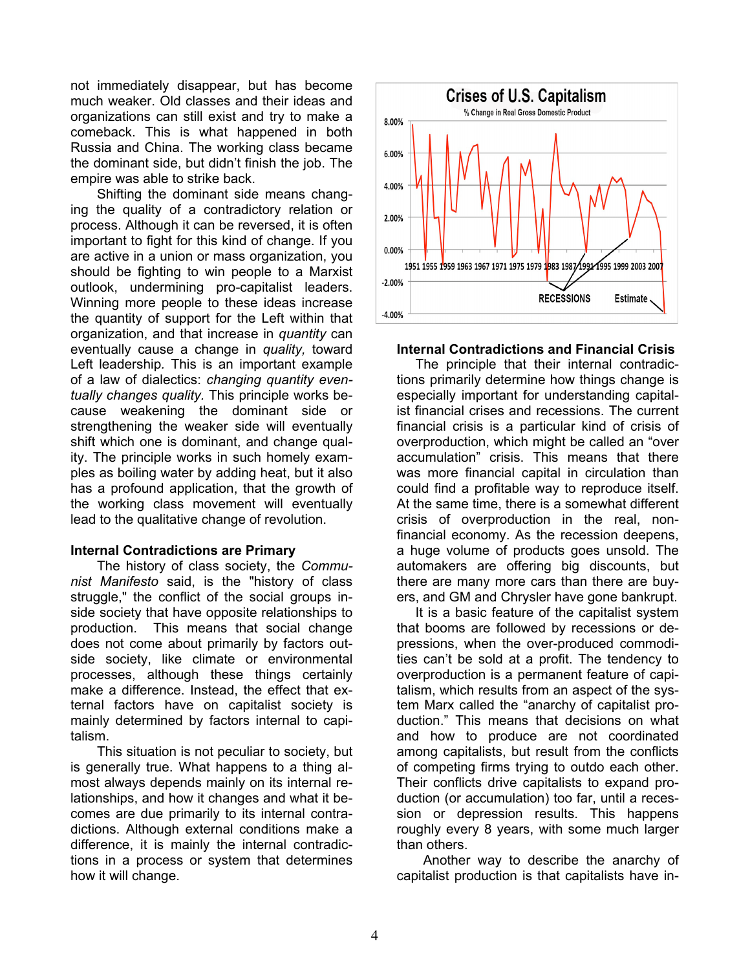not immediately disappear, but has become much weaker. Old classes and their ideas and organizations can still exist and try to make a comeback. This is what happened in both Russia and China. The working class became the dominant side, but didn't finish the job. The empire was able to strike back.

Shifting the dominant side means changing the quality of a contradictory relation or process. Although it can be reversed, it is often important to fight for this kind of change. If you are active in a union or mass organization, you should be fighting to win people to a Marxist outlook, undermining pro-capitalist leaders. Winning more people to these ideas increase the quantity of support for the Left within that organization, and that increase in *quantity* can eventually cause a change in *quality,* toward Left leadership*.* This is an important example of a law of dialectics: *changing quantity eventually changes quality.* This principle works because weakening the dominant side or strengthening the weaker side will eventually shift which one is dominant, and change quality. The principle works in such homely examples as boiling water by adding heat, but it also has a profound application, that the growth of the working class movement will eventually lead to the qualitative change of revolution.

#### **Internal Contradictions are Primary**

The history of class society, the *Communist Manifesto* said, is the "history of class struggle," the conflict of the social groups inside society that have opposite relationships to production. This means that social change does not come about primarily by factors outside society, like climate or environmental processes, although these things certainly make a difference. Instead, the effect that external factors have on capitalist society is mainly determined by factors internal to capitalism.

This situation is not peculiar to society, but is generally true. What happens to a thing almost always depends mainly on its internal relationships, and how it changes and what it becomes are due primarily to its internal contradictions. Although external conditions make a difference, it is mainly the internal contradictions in a process or system that determines how it will change.



#### **Internal Contradictions and Financial Crisis**

 The principle that their internal contradictions primarily determine how things change is especially important for understanding capitalist financial crises and recessions. The current financial crisis is a particular kind of crisis of overproduction, which might be called an "over accumulation" crisis. This means that there was more financial capital in circulation than could find a profitable way to reproduce itself. At the same time, there is a somewhat different crisis of overproduction in the real, nonfinancial economy. As the recession deepens, a huge volume of products goes unsold. The automakers are offering big discounts, but there are many more cars than there are buyers, and GM and Chrysler have gone bankrupt.

 It is a basic feature of the capitalist system that booms are followed by recessions or depressions, when the over-produced commodities can't be sold at a profit. The tendency to overproduction is a permanent feature of capitalism, which results from an aspect of the system Marx called the "anarchy of capitalist production." This means that decisions on what and how to produce are not coordinated among capitalists, but result from the conflicts of competing firms trying to outdo each other. Their conflicts drive capitalists to expand production (or accumulation) too far, until a recession or depression results. This happens roughly every 8 years, with some much larger than others.

Another way to describe the anarchy of capitalist production is that capitalists have in